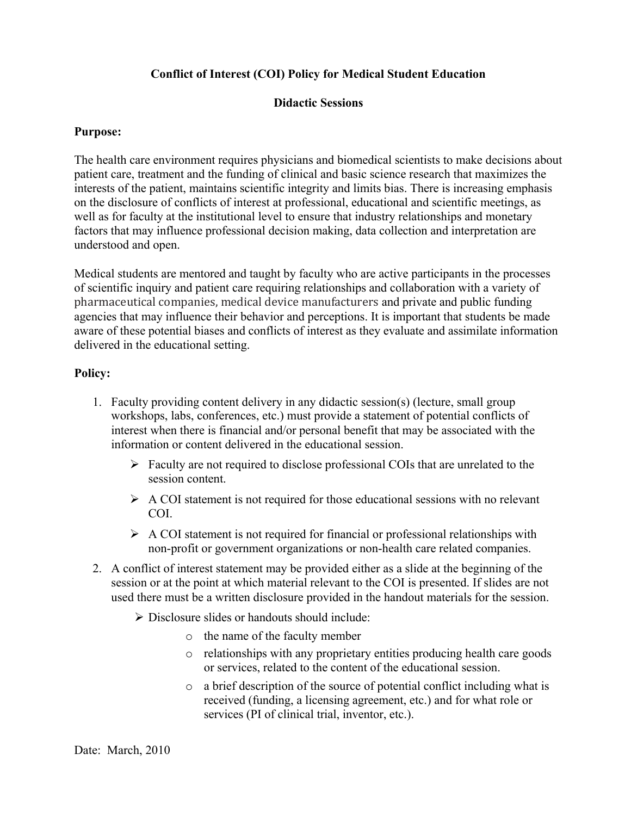#### **Conflict of Interest (COI) Policy for Medical Student Education**

#### **Didactic Sessions**

#### **Purpose:**

The health care environment requires physicians and biomedical scientists to make decisions about patient care, treatment and the funding of clinical and basic science research that maximizes the interests of the patient, maintains scientific integrity and limits bias. There is increasing emphasis on the disclosure of conflicts of interest at professional, educational and scientific meetings, as well as for faculty at the institutional level to ensure that industry relationships and monetary factors that may influence professional decision making, data collection and interpretation are understood and open.

Medical students are mentored and taught by faculty who are active participants in the processes of scientific inquiry and patient care requiring relationships and collaboration with a variety of pharmaceutical companies, medical device manufacturers and private and public funding agencies that may influence their behavior and perceptions. It is important that students be made aware of these potential biases and conflicts of interest as they evaluate and assimilate information delivered in the educational setting.

#### **Policy:**

- 1. Faculty providing content delivery in any didactic session(s) (lecture, small group workshops, labs, conferences, etc.) must provide a statement of potential conflicts of interest when there is financial and/or personal benefit that may be associated with the information or content delivered in the educational session.
	- $\triangleright$  Faculty are not required to disclose professional COIs that are unrelated to the session content.
	- $\triangleright$  A COI statement is not required for those educational sessions with no relevant COI.
	- $\triangleright$  A COI statement is not required for financial or professional relationships with non-profit or government organizations or non-health care related companies.
- 2. A conflict of interest statement may be provided either as a slide at the beginning of the session or at the point at which material relevant to the COI is presented. If slides are not used there must be a written disclosure provided in the handout materials for the session.
	- $\triangleright$  Disclosure slides or handouts should include:
		- o the name of the faculty member
		- o relationships with any proprietary entities producing health care goods or services, related to the content of the educational session.
		- o a brief description of the source of potential conflict including what is received (funding, a licensing agreement, etc.) and for what role or services (PI of clinical trial, inventor, etc.).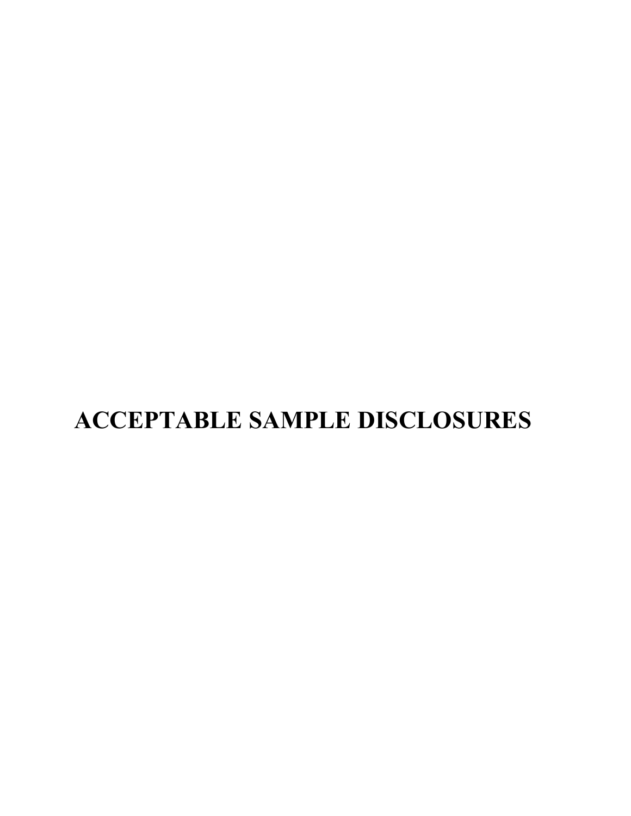# **ACCEPTABLE SAMPLE DISCLOSURES**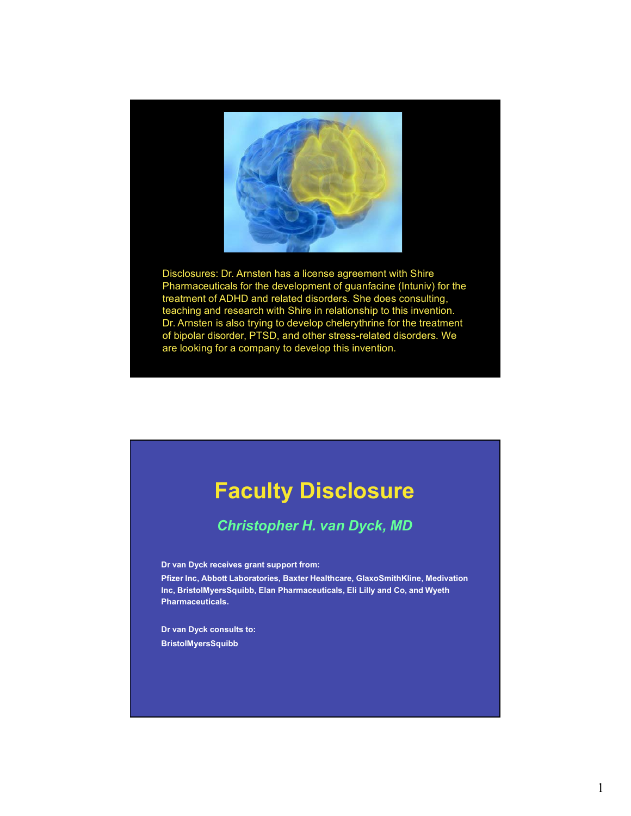

Disclosures: Dr. Arnsten has a license agreement with Shire Pharmaceuticals for the development of guanfacine (Intuniv) for the treatment of ADHD and related disorders. She does consulting, teaching and research with Shire in relationship to this invention. Dr. Arnsten is also trying to develop chelerythrine for the treatment of bipolar disorder, PTSD, and other stress-related disorders. We are looking for a company to develop this invention.

## **Faculty Disclosure**

### *Christopher H. van Dyck, MD*

**Dr van Dyck receives grant support from:**

**Pfizer Inc, Abbott Laboratories, Baxter Healthcare, GlaxoSmithKline, Medivation Inc, BristolMyersSquibb, Elan Pharmaceuticals, Eli Lilly and Co, and Wyeth Pharmaceuticals.**

**Dr van Dyck consults to: BristolMyersSquibb**